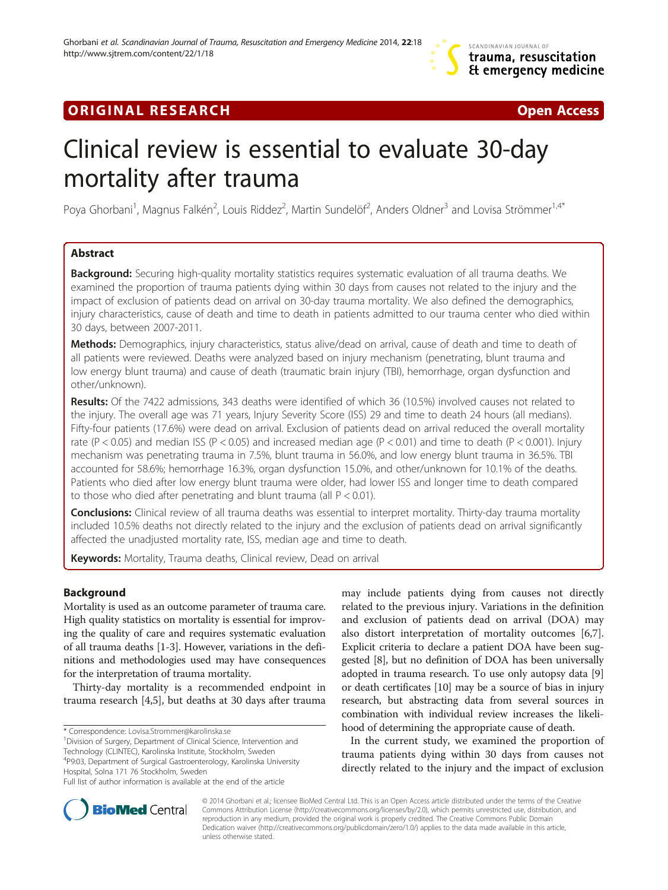# **ORIGINAL RESEARCH CONFIDENTIAL CONSUMING A LOCAL CONFIDENTIAL CONFIDENTIAL CONFIDENTIAL CONFIDENTIAL CONFIDENTI**

# Clinical review is essential to evaluate 30-day mortality after trauma

Poya Ghorbani<sup>1</sup>, Magnus Falkén<sup>2</sup>, Louis Riddez<sup>2</sup>, Martin Sundelöf<sup>2</sup>, Anders Oldner<sup>3</sup> and Lovisa Strömmer<sup>1,4\*</sup>

# Abstract

Background: Securing high-quality mortality statistics requires systematic evaluation of all trauma deaths. We examined the proportion of trauma patients dying within 30 days from causes not related to the injury and the impact of exclusion of patients dead on arrival on 30-day trauma mortality. We also defined the demographics, injury characteristics, cause of death and time to death in patients admitted to our trauma center who died within 30 days, between 2007-2011.

Methods: Demographics, injury characteristics, status alive/dead on arrival, cause of death and time to death of all patients were reviewed. Deaths were analyzed based on injury mechanism (penetrating, blunt trauma and low energy blunt trauma) and cause of death (traumatic brain injury (TBI), hemorrhage, organ dysfunction and other/unknown).

Results: Of the 7422 admissions, 343 deaths were identified of which 36 (10.5%) involved causes not related to the injury. The overall age was 71 years, Injury Severity Score (ISS) 29 and time to death 24 hours (all medians). Fifty-four patients (17.6%) were dead on arrival. Exclusion of patients dead on arrival reduced the overall mortality rate ( $P < 0.05$ ) and median ISS ( $P < 0.05$ ) and increased median age ( $P < 0.01$ ) and time to death ( $P < 0.001$ ). Injury mechanism was penetrating trauma in 7.5%, blunt trauma in 56.0%, and low energy blunt trauma in 36.5%. TBI accounted for 58.6%; hemorrhage 16.3%, organ dysfunction 15.0%, and other/unknown for 10.1% of the deaths. Patients who died after low energy blunt trauma were older, had lower ISS and longer time to death compared to those who died after penetrating and blunt trauma (all P < 0.01).

**Conclusions:** Clinical review of all trauma deaths was essential to interpret mortality. Thirty-day trauma mortality included 10.5% deaths not directly related to the injury and the exclusion of patients dead on arrival significantly affected the unadjusted mortality rate, ISS, median age and time to death.

Keywords: Mortality, Trauma deaths, Clinical review, Dead on arrival

# Background

Mortality is used as an outcome parameter of trauma care. High quality statistics on mortality is essential for improving the quality of care and requires systematic evaluation of all trauma deaths [\[1-3](#page-6-0)]. However, variations in the definitions and methodologies used may have consequences for the interpretation of trauma mortality.

Thirty-day mortality is a recommended endpoint in trauma research [\[4,5](#page-6-0)], but deaths at 30 days after trauma

\* Correspondence: [Lovisa.Strommer@karolinska.se](mailto:Lovisa.Strommer@karolinska.se) <sup>1</sup>

<sup>1</sup> Division of Surgery, Department of Clinical Science, Intervention and Technology (CLINTEC), Karolinska Institute, Stockholm, Sweden 4 P9:03, Department of Surgical Gastroenterology, Karolinska University Hospital, Solna 171 76 Stockholm, Sweden

may include patients dying from causes not directly related to the previous injury. Variations in the definition and exclusion of patients dead on arrival (DOA) may also distort interpretation of mortality outcomes [\[6,7](#page-6-0)]. Explicit criteria to declare a patient DOA have been suggested [\[8](#page-6-0)], but no definition of DOA has been universally adopted in trauma research. To use only autopsy data [[9](#page-6-0)] or death certificates [\[10\]](#page-6-0) may be a source of bias in injury research, but abstracting data from several sources in combination with individual review increases the likelihood of determining the appropriate cause of death.

In the current study, we examined the proportion of trauma patients dying within 30 days from causes not directly related to the injury and the impact of exclusion



© 2014 Ghorbani et al.; licensee BioMed Central Ltd. This is an Open Access article distributed under the terms of the Creative Commons Attribution License [\(http://creativecommons.org/licenses/by/2.0\)](http://creativecommons.org/licenses/by/2.0), which permits unrestricted use, distribution, and reproduction in any medium, provided the original work is properly credited. The Creative Commons Public Domain Dedication waiver [\(http://creativecommons.org/publicdomain/zero/1.0/](http://creativecommons.org/publicdomain/zero/1.0/)) applies to the data made available in this article, unless otherwise stated.

Full list of author information is available at the end of the article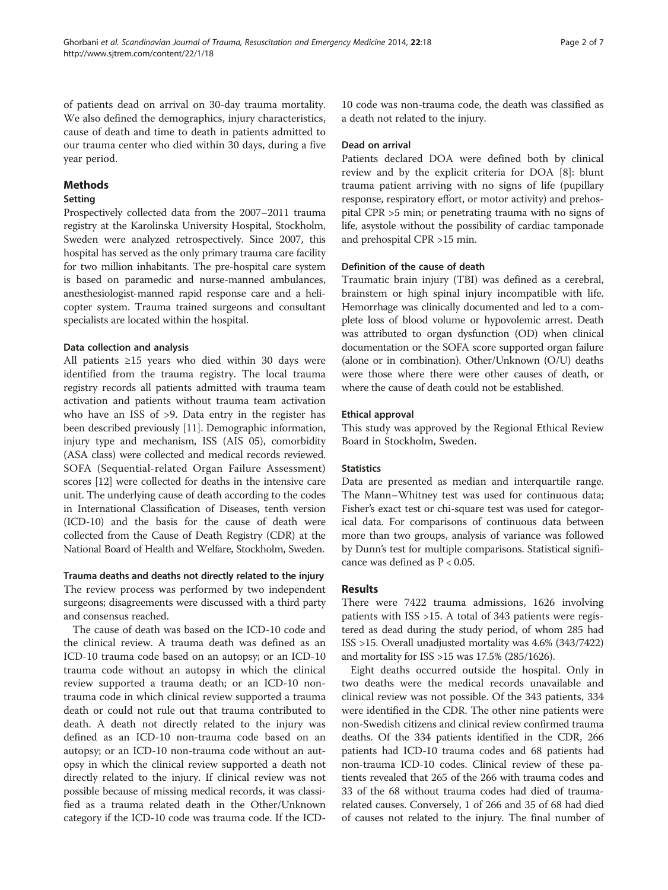of patients dead on arrival on 30-day trauma mortality. We also defined the demographics, injury characteristics, cause of death and time to death in patients admitted to our trauma center who died within 30 days, during a five year period.

# Methods

#### Setting

Prospectively collected data from the 2007–2011 trauma registry at the Karolinska University Hospital, Stockholm, Sweden were analyzed retrospectively. Since 2007, this hospital has served as the only primary trauma care facility for two million inhabitants. The pre-hospital care system is based on paramedic and nurse-manned ambulances, anesthesiologist-manned rapid response care and a helicopter system. Trauma trained surgeons and consultant specialists are located within the hospital.

#### Data collection and analysis

All patients ≥15 years who died within 30 days were identified from the trauma registry. The local trauma registry records all patients admitted with trauma team activation and patients without trauma team activation who have an ISS of >9. Data entry in the register has been described previously [\[11\]](#page-6-0). Demographic information, injury type and mechanism, ISS (AIS 05), comorbidity (ASA class) were collected and medical records reviewed. SOFA (Sequential-related Organ Failure Assessment) scores [[12](#page-6-0)] were collected for deaths in the intensive care unit. The underlying cause of death according to the codes in International Classification of Diseases, tenth version (ICD-10) and the basis for the cause of death were collected from the Cause of Death Registry (CDR) at the National Board of Health and Welfare, Stockholm, Sweden.

# Trauma deaths and deaths not directly related to the injury The review process was performed by two independent surgeons; disagreements were discussed with a third party and consensus reached.

The cause of death was based on the ICD-10 code and the clinical review. A trauma death was defined as an ICD-10 trauma code based on an autopsy; or an ICD-10 trauma code without an autopsy in which the clinical review supported a trauma death; or an ICD-10 nontrauma code in which clinical review supported a trauma death or could not rule out that trauma contributed to death. A death not directly related to the injury was defined as an ICD-10 non-trauma code based on an autopsy; or an ICD-10 non-trauma code without an autopsy in which the clinical review supported a death not directly related to the injury. If clinical review was not possible because of missing medical records, it was classified as a trauma related death in the Other/Unknown category if the ICD-10 code was trauma code. If the ICD-

10 code was non-trauma code, the death was classified as a death not related to the injury.

#### Dead on arrival

Patients declared DOA were defined both by clinical review and by the explicit criteria for DOA [[8\]](#page-6-0): blunt trauma patient arriving with no signs of life (pupillary response, respiratory effort, or motor activity) and prehospital CPR >5 min; or penetrating trauma with no signs of life, asystole without the possibility of cardiac tamponade and prehospital CPR >15 min.

# Definition of the cause of death

Traumatic brain injury (TBI) was defined as a cerebral, brainstem or high spinal injury incompatible with life. Hemorrhage was clinically documented and led to a complete loss of blood volume or hypovolemic arrest. Death was attributed to organ dysfunction (OD) when clinical documentation or the SOFA score supported organ failure (alone or in combination). Other/Unknown (O/U) deaths were those where there were other causes of death, or where the cause of death could not be established.

# Ethical approval

This study was approved by the Regional Ethical Review Board in Stockholm, Sweden.

# **Statistics**

Data are presented as median and interquartile range. The Mann–Whitney test was used for continuous data; Fisher's exact test or chi-square test was used for categorical data. For comparisons of continuous data between more than two groups, analysis of variance was followed by Dunn's test for multiple comparisons. Statistical significance was defined as P < 0.05.

# Results

There were 7422 trauma admissions, 1626 involving patients with ISS >15. A total of 343 patients were registered as dead during the study period, of whom 285 had ISS >15. Overall unadjusted mortality was 4.6% (343/7422) and mortality for ISS >15 was 17.5% (285/1626).

Eight deaths occurred outside the hospital. Only in two deaths were the medical records unavailable and clinical review was not possible. Of the 343 patients, 334 were identified in the CDR. The other nine patients were non-Swedish citizens and clinical review confirmed trauma deaths. Of the 334 patients identified in the CDR, 266 patients had ICD-10 trauma codes and 68 patients had non-trauma ICD-10 codes. Clinical review of these patients revealed that 265 of the 266 with trauma codes and 33 of the 68 without trauma codes had died of traumarelated causes. Conversely, 1 of 266 and 35 of 68 had died of causes not related to the injury. The final number of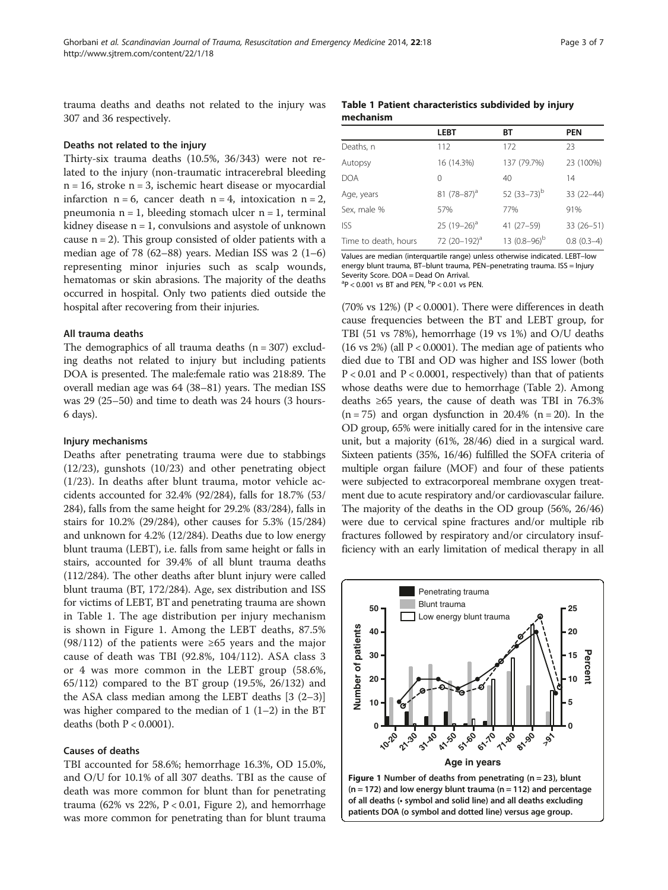<span id="page-2-0"></span>trauma deaths and deaths not related to the injury was 307 and 36 respectively.

#### Deaths not related to the injury

Thirty-six trauma deaths (10.5%, 36/343) were not related to the injury (non-traumatic intracerebral bleeding  $n = 16$ , stroke  $n = 3$ , ischemic heart disease or myocardial infarction  $n = 6$ , cancer death  $n = 4$ , intoxication  $n = 2$ , pneumonia  $n = 1$ , bleeding stomach ulcer  $n = 1$ , terminal kidney disease  $n = 1$ , convulsions and asystole of unknown cause  $n = 2$ ). This group consisted of older patients with a median age of 78 (62–88) years. Median ISS was  $2(1-6)$ representing minor injuries such as scalp wounds, hematomas or skin abrasions. The majority of the deaths occurred in hospital. Only two patients died outside the hospital after recovering from their injuries.

#### All trauma deaths

The demographics of all trauma deaths  $(n = 307)$  excluding deaths not related to injury but including patients DOA is presented. The male:female ratio was 218:89. The overall median age was 64 (38–81) years. The median ISS was 29 (25–50) and time to death was 24 hours (3 hours-6 days).

#### Injury mechanisms

Deaths after penetrating trauma were due to stabbings (12/23), gunshots (10/23) and other penetrating object (1/23). In deaths after blunt trauma, motor vehicle accidents accounted for 32.4% (92/284), falls for 18.7% (53/ 284), falls from the same height for 29.2% (83/284), falls in stairs for 10.2% (29/284), other causes for 5.3% (15/284) and unknown for 4.2% (12/284). Deaths due to low energy blunt trauma (LEBT), i.e. falls from same height or falls in stairs, accounted for 39.4% of all blunt trauma deaths (112/284). The other deaths after blunt injury were called blunt trauma (BT, 172/284). Age, sex distribution and ISS for victims of LEBT, BT and penetrating trauma are shown in Table 1. The age distribution per injury mechanism is shown in Figure 1. Among the LEBT deaths, 87.5%  $(98/112)$  of the patients were ≥65 years and the major cause of death was TBI (92.8%, 104/112). ASA class 3 or 4 was more common in the LEBT group (58.6%, 65/112) compared to the BT group (19.5%, 26/132) and the ASA class median among the LEBT deaths  $[3 (2-3)]$ was higher compared to the median of  $1(1-2)$  in the BT deaths (both  $P < 0.0001$ ).

#### Causes of deaths

TBI accounted for 58.6%; hemorrhage 16.3%, OD 15.0%, and O/U for 10.1% of all 307 deaths. TBI as the cause of death was more common for blunt than for penetrating trauma (62% vs  $22\%$ ,  $P < 0.01$ , Figure [2](#page-3-0)), and hemorrhage was more common for penetrating than for blunt trauma

#### Table 1 Patient characteristics subdivided by injury mechanism

|                      | LEBT                     | ВT               | <b>PEN</b>   |
|----------------------|--------------------------|------------------|--------------|
| Deaths, n            | 112                      | 172              | 23           |
| Autopsy              | 16 (14.3%)               | 137 (79.7%)      | 23 (100%)    |
| <b>DOA</b>           | 0                        | 40               | 14           |
| Age, years           | 81 $(78-87)^a$           | 52 $(33-73)^{b}$ | 33 (22 - 44) |
| Sex, male %          | 57%                      | 77%              | 91%          |
| <b>ISS</b>           | 25 $(19-26)^{a}$         | 41 (27-59)       | 33 (26-51)   |
| Time to death, hours | 72 (20-192) <sup>a</sup> | 13 $(0.8-96)^b$  | $0.8(0.3-4)$ |
|                      |                          |                  |              |

Values are median (interquartile range) unless otherwise indicated. LEBT–low energy blunt trauma, BT-blunt trauma, PEN-penetrating trauma. ISS = Injury Severity Score. DOA = Dead On Arrival.  $\mathrm{^{a}P}$  < 0.001 vs BT and PEN,  $\mathrm{^{b}P}$  < 0.01 vs PEN.

(70% vs  $12\%$ ) (P < 0.0001). There were differences in death cause frequencies between the BT and LEBT group, for TBI (51 vs 78%), hemorrhage (19 vs 1%) and O/U deaths (16 vs  $2\%$ ) (all  $P < 0.0001$ ). The median age of patients who died due to TBI and OD was higher and ISS lower (both  $P < 0.01$  and  $P < 0.0001$ , respectively) than that of patients whose deaths were due to hemorrhage (Table [2\)](#page-3-0). Among deaths ≥65 years, the cause of death was TBI in 76.3%  $(n = 75)$  and organ dysfunction in 20.4%  $(n = 20)$ . In the OD group, 65% were initially cared for in the intensive care unit, but a majority (61%, 28/46) died in a surgical ward. Sixteen patients (35%, 16/46) fulfilled the SOFA criteria of multiple organ failure (MOF) and four of these patients were subjected to extracorporeal membrane oxygen treatment due to acute respiratory and/or cardiovascular failure. The majority of the deaths in the OD group (56%, 26/46) were due to cervical spine fractures and/or multiple rib fractures followed by respiratory and/or circulatory insufficiency with an early limitation of medical therapy in all



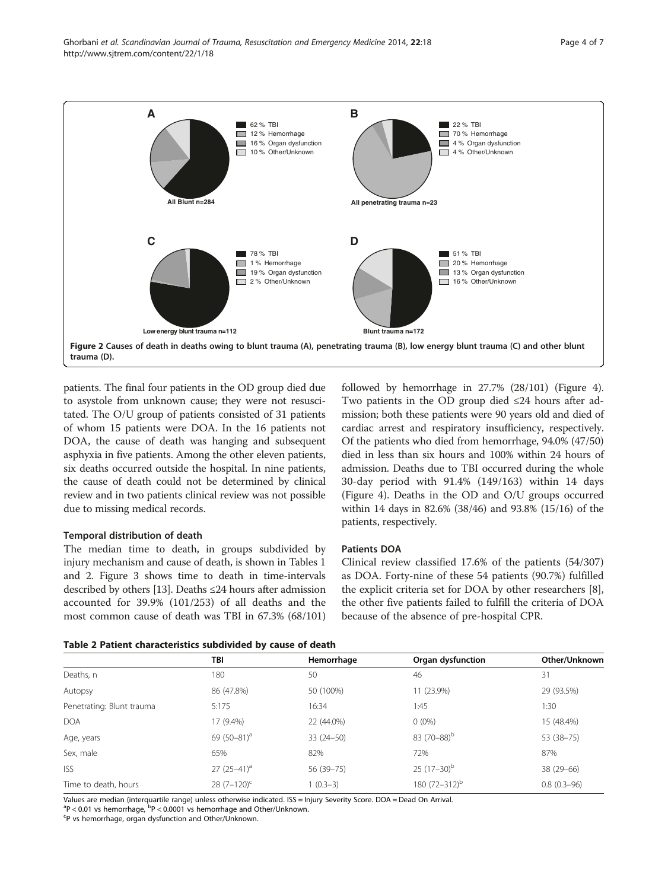<span id="page-3-0"></span>

patients. The final four patients in the OD group died due to asystole from unknown cause; they were not resuscitated. The O/U group of patients consisted of 31 patients of whom 15 patients were DOA. In the 16 patients not DOA, the cause of death was hanging and subsequent asphyxia in five patients. Among the other eleven patients, six deaths occurred outside the hospital. In nine patients, the cause of death could not be determined by clinical review and in two patients clinical review was not possible due to missing medical records.

#### Temporal distribution of death

The median time to death, in groups subdivided by injury mechanism and cause of death, is shown in Tables [1](#page-2-0) and 2. Figure [3](#page-4-0) shows time to death in time-intervals described by others [[13](#page-6-0)]. Deaths ≤24 hours after admission accounted for 39.9% (101/253) of all deaths and the most common cause of death was TBI in 67.3% (68/101)

followed by hemorrhage in 27.7% (28/101) (Figure [4](#page-4-0)). Two patients in the OD group died ≤24 hours after admission; both these patients were 90 years old and died of cardiac arrest and respiratory insufficiency, respectively. Of the patients who died from hemorrhage, 94.0% (47/50) died in less than six hours and 100% within 24 hours of admission. Deaths due to TBI occurred during the whole 30-day period with 91.4% (149/163) within 14 days (Figure [4](#page-4-0)). Deaths in the OD and O/U groups occurred within 14 days in 82.6% (38/46) and 93.8% (15/16) of the patients, respectively.

#### Patients DOA

Clinical review classified 17.6% of the patients (54/307) as DOA. Forty-nine of these 54 patients (90.7%) fulfilled the explicit criteria set for DOA by other researchers [\[8](#page-6-0)], the other five patients failed to fulfill the criteria of DOA because of the absence of pre-hospital CPR.

|  |  |  | Table 2 Patient characteristics subdivided by cause of death |
|--|--|--|--------------------------------------------------------------|
|--|--|--|--------------------------------------------------------------|

| Table 2 Patient Characteristics subdivided by cause of death |             |                           |               |  |  |  |  |
|--------------------------------------------------------------|-------------|---------------------------|---------------|--|--|--|--|
| TBI                                                          | Hemorrhage  | Organ dysfunction         | Other/Unknown |  |  |  |  |
| 180                                                          | 50          | 46                        | 31            |  |  |  |  |
| 86 (47.8%)                                                   | 50 (100%)   | 11 (23.9%)                | 29 (93.5%)    |  |  |  |  |
| 5:175                                                        | 16:34       | 1:45                      | 1:30          |  |  |  |  |
| 17 (9.4%)                                                    | 22 (44.0%)  | $0(0\%)$                  | 15 (48.4%)    |  |  |  |  |
| 69 $(50-81)^a$                                               | $33(24-50)$ | 83 (70-88) <sup>b</sup>   | 53 (38-75)    |  |  |  |  |
| 65%                                                          | 82%         | 72%                       | 87%           |  |  |  |  |
| 27 $(25-41)^a$                                               | 56 (39-75)  | 25 $(17-30)^b$            | 38 (29-66)    |  |  |  |  |
| 28 $(7-120)^{c}$                                             | $1(0.3-3)$  | 180 (72-312) <sup>b</sup> | $0.8(0.3-96)$ |  |  |  |  |
|                                                              |             |                           |               |  |  |  |  |

Values are median (interquartile range) unless otherwise indicated. ISS = Injury Severity Score. DOA = Dead On Arrival.

 $\binom{ap}{P}$  < 0.01 vs hemorrhage,  $\binom{bp}{P}$  < 0.0001 vs hemorrhage and Other/Unknown.

P vs hemorrhage, organ dysfunction and Other/Unknown.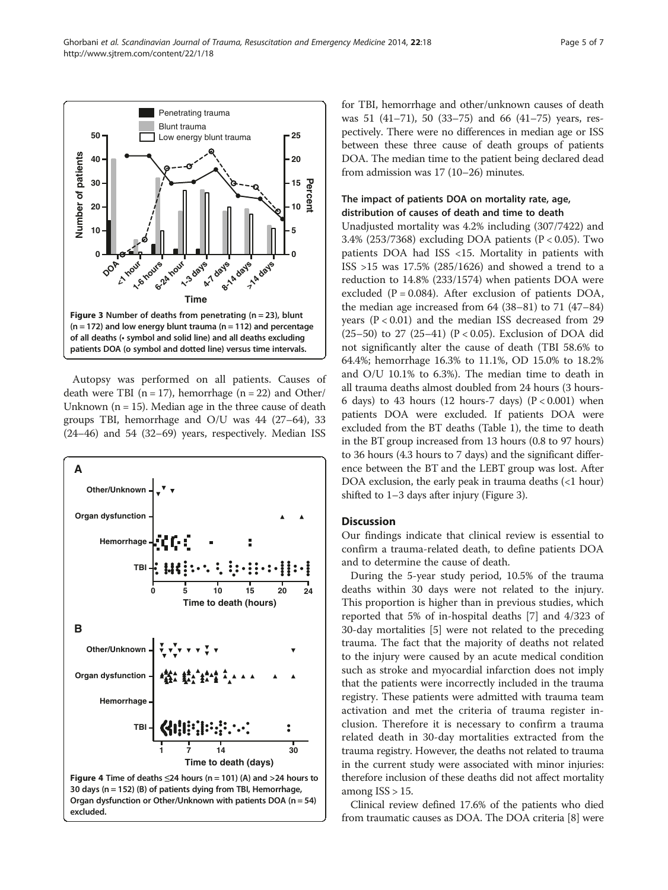<span id="page-4-0"></span>

Autopsy was performed on all patients. Causes of death were TBI ( $n = 17$ ), hemorrhage ( $n = 22$ ) and Other/ Unknown  $(n = 15)$ . Median age in the three cause of death groups TBI, hemorrhage and O/U was 44 (27–64), 33 (24–46) and 54 (32–69) years, respectively. Median ISS



for TBI, hemorrhage and other/unknown causes of death was 51 (41–71), 50 (33–75) and 66 (41–75) years, respectively. There were no differences in median age or ISS between these three cause of death groups of patients DOA. The median time to the patient being declared dead from admission was 17 (10–26) minutes.

# The impact of patients DOA on mortality rate, age, distribution of causes of death and time to death

Unadjusted mortality was 4.2% including (307/7422) and 3.4% (253/7368) excluding DOA patients (P < 0.05). Two patients DOA had ISS <15. Mortality in patients with ISS >15 was 17.5% (285/1626) and showed a trend to a reduction to 14.8% (233/1574) when patients DOA were excluded  $(P = 0.084)$ . After exclusion of patients DOA, the median age increased from 64 (38–81) to 71 (47–84) years  $(P < 0.01)$  and the median ISS decreased from 29 (25–50) to 27 (25–41) (P < 0.05). Exclusion of DOA did not significantly alter the cause of death (TBI 58.6% to 64.4%; hemorrhage 16.3% to 11.1%, OD 15.0% to 18.2% and O/U 10.1% to 6.3%). The median time to death in all trauma deaths almost doubled from 24 hours (3 hours-6 days) to 43 hours (12 hours-7 days)  $(P < 0.001)$  when patients DOA were excluded. If patients DOA were excluded from the BT deaths (Table [1\)](#page-2-0), the time to death in the BT group increased from 13 hours (0.8 to 97 hours) to 36 hours (4.3 hours to 7 days) and the significant difference between the BT and the LEBT group was lost. After DOA exclusion, the early peak in trauma deaths (<1 hour) shifted to 1–3 days after injury (Figure 3).

# **Discussion**

Our findings indicate that clinical review is essential to confirm a trauma-related death, to define patients DOA and to determine the cause of death.

During the 5-year study period, 10.5% of the trauma deaths within 30 days were not related to the injury. This proportion is higher than in previous studies, which reported that 5% of in-hospital deaths [\[7](#page-6-0)] and 4/323 of 30-day mortalities [\[5](#page-6-0)] were not related to the preceding trauma. The fact that the majority of deaths not related to the injury were caused by an acute medical condition such as stroke and myocardial infarction does not imply that the patients were incorrectly included in the trauma registry. These patients were admitted with trauma team activation and met the criteria of trauma register inclusion. Therefore it is necessary to confirm a trauma related death in 30-day mortalities extracted from the trauma registry. However, the deaths not related to trauma in the current study were associated with minor injuries: therefore inclusion of these deaths did not affect mortality among  $ISS > 15$ .

Clinical review defined 17.6% of the patients who died from traumatic causes as DOA. The DOA criteria [\[8\]](#page-6-0) were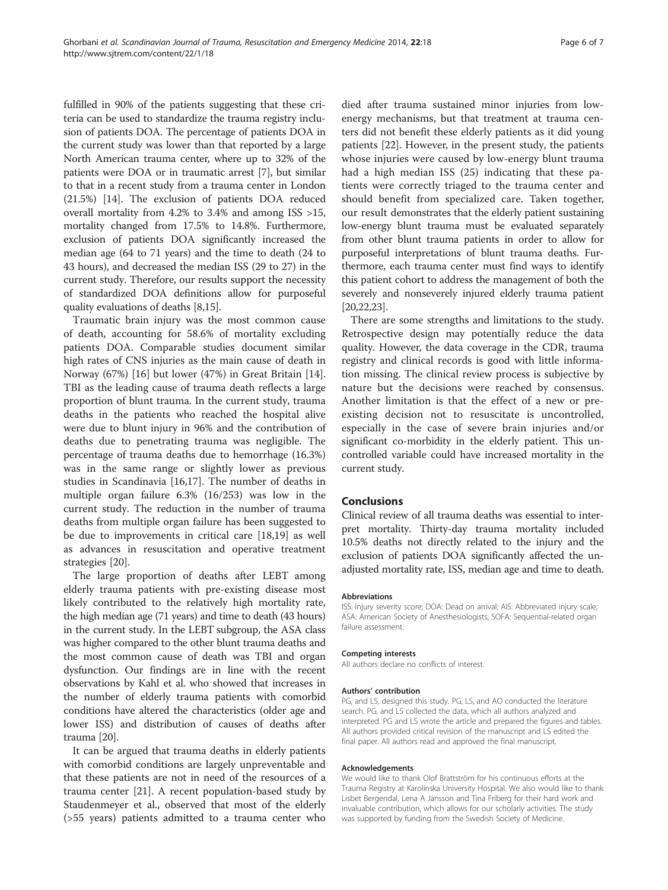fulfilled in 90% of the patients suggesting that these criteria can be used to standardize the trauma registry inclusion of patients DOA. The percentage of patients DOA in the current study was lower than that reported by a large North American trauma center, where up to 32% of the patients were DOA or in traumatic arrest [\[7](#page-6-0)], but similar to that in a recent study from a trauma center in London (21.5%) [\[14\]](#page-6-0). The exclusion of patients DOA reduced overall mortality from 4.2% to 3.4% and among ISS >15, mortality changed from 17.5% to 14.8%. Furthermore, exclusion of patients DOA significantly increased the median age (64 to 71 years) and the time to death (24 to 43 hours), and decreased the median ISS (29 to 27) in the current study. Therefore, our results support the necessity of standardized DOA definitions allow for purposeful quality evaluations of deaths [[8,15](#page-6-0)].

Traumatic brain injury was the most common cause of death, accounting for 58.6% of mortality excluding patients DOA. Comparable studies document similar high rates of CNS injuries as the main cause of death in Norway (67%) [[16\]](#page-6-0) but lower (47%) in Great Britain [\[14](#page-6-0)]. TBI as the leading cause of trauma death reflects a large proportion of blunt trauma. In the current study, trauma deaths in the patients who reached the hospital alive were due to blunt injury in 96% and the contribution of deaths due to penetrating trauma was negligible. The percentage of trauma deaths due to hemorrhage (16.3%) was in the same range or slightly lower as previous studies in Scandinavia [\[16,17\]](#page-6-0). The number of deaths in multiple organ failure 6.3% (16/253) was low in the current study. The reduction in the number of trauma deaths from multiple organ failure has been suggested to be due to improvements in critical care [[18,19](#page-6-0)] as well as advances in resuscitation and operative treatment strategies [[20\]](#page-6-0).

The large proportion of deaths after LEBT among elderly trauma patients with pre-existing disease most likely contributed to the relatively high mortality rate, the high median age (71 years) and time to death (43 hours) in the current study. In the LEBT subgroup, the ASA class was higher compared to the other blunt trauma deaths and the most common cause of death was TBI and organ dysfunction. Our findings are in line with the recent observations by Kahl et al. who showed that increases in the number of elderly trauma patients with comorbid conditions have altered the characteristics (older age and lower ISS) and distribution of causes of deaths after trauma [\[20\]](#page-6-0).

It can be argued that trauma deaths in elderly patients with comorbid conditions are largely unpreventable and that these patients are not in need of the resources of a trauma center [[21\]](#page-6-0). A recent population-based study by Staudenmeyer et al., observed that most of the elderly (>55 years) patients admitted to a trauma center who

died after trauma sustained minor injuries from lowenergy mechanisms, but that treatment at trauma centers did not benefit these elderly patients as it did young patients [\[22](#page-6-0)]. However, in the present study, the patients whose injuries were caused by low-energy blunt trauma had a high median ISS (25) indicating that these patients were correctly triaged to the trauma center and should benefit from specialized care. Taken together, our result demonstrates that the elderly patient sustaining low-energy blunt trauma must be evaluated separately from other blunt trauma patients in order to allow for purposeful interpretations of blunt trauma deaths. Furthermore, each trauma center must find ways to identify this patient cohort to address the management of both the severely and nonseverely injured elderly trauma patient [[20](#page-6-0),[22,23\]](#page-6-0).

There are some strengths and limitations to the study. Retrospective design may potentially reduce the data quality. However, the data coverage in the CDR, trauma registry and clinical records is good with little information missing. The clinical review process is subjective by nature but the decisions were reached by consensus. Another limitation is that the effect of a new or preexisting decision not to resuscitate is uncontrolled, especially in the case of severe brain injuries and/or significant co-morbidity in the elderly patient. This uncontrolled variable could have increased mortality in the current study.

#### Conclusions

Clinical review of all trauma deaths was essential to interpret mortality. Thirty-day trauma mortality included 10.5% deaths not directly related to the injury and the exclusion of patients DOA significantly affected the unadjusted mortality rate, ISS, median age and time to death.

#### Abbreviations

ISS: Injury severity score; DOA: Dead on arrival; AIS: Abbreviated injury scale; ASA: American Society of Anesthesiologists; SOFA: Sequential-related organ failure assessment.

#### Competing interests

All authors declare no conflicts of interest.

#### Authors' contribution

PG, and LS, designed this study. PG, LS, and AO conducted the literature search. PG, and LS collected the data, which all authors analyzed and interpreted. PG and LS wrote the article and prepared the figures and tables. All authors provided critical revision of the manuscript and LS edited the final paper. All authors read and approved the final manuscript.

#### Acknowledgements

We would like to thank Olof Brattström for his continuous efforts at the Trauma Registry at Karolinska University Hospital. We also would like to thank Lisbet Bergendal, Lena A Jansson and Tina Friberg for their hard work and invaluable contribution, which allows for our scholarly activities. The study was supported by funding from the Swedish Society of Medicine.